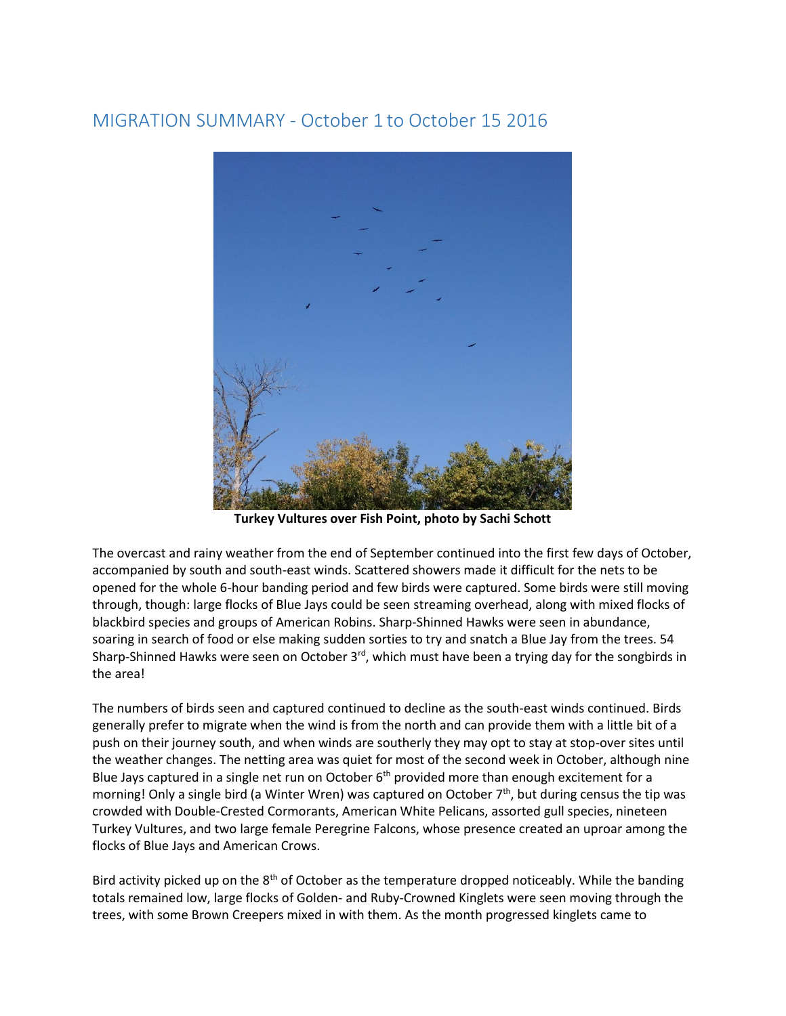## MIGRATION SUMMARY - October 1 to October 15 2016



**Turkey Vultures over Fish Point, photo by Sachi Schott** 

The overcast and rainy weather from the end of September continued into the first few days of October, accompanied by south and south-east winds. Scattered showers made it difficult for the nets to be opened for the whole 6-hour banding period and few birds were captured. Some birds were still moving through, though: large flocks of Blue Jays could be seen streaming overhead, along with mixed flocks of blackbird species and groups of American Robins. Sharp-Shinned Hawks were seen in abundance, soaring in search of food or else making sudden sorties to try and snatch a Blue Jay from the trees. 54 Sharp-Shinned Hawks were seen on October 3<sup>rd</sup>, which must have been a trying day for the songbirds in the area!

The numbers of birds seen and captured continued to decline as the south-east winds continued. Birds generally prefer to migrate when the wind is from the north and can provide them with a little bit of a push on their journey south, and when winds are southerly they may opt to stay at stop-over sites until the weather changes. The netting area was quiet for most of the second week in October, although nine Blue Jays captured in a single net run on October  $6<sup>th</sup>$  provided more than enough excitement for a morning! Only a single bird (a Winter Wren) was captured on October  $7<sup>th</sup>$ , but during census the tip was crowded with Double-Crested Cormorants, American White Pelicans, assorted gull species, nineteen Turkey Vultures, and two large female Peregrine Falcons, whose presence created an uproar among the flocks of Blue Jays and American Crows.

Bird activity picked up on the  $8<sup>th</sup>$  of October as the temperature dropped noticeably. While the banding totals remained low, large flocks of Golden- and Ruby-Crowned Kinglets were seen moving through the trees, with some Brown Creepers mixed in with them. As the month progressed kinglets came to